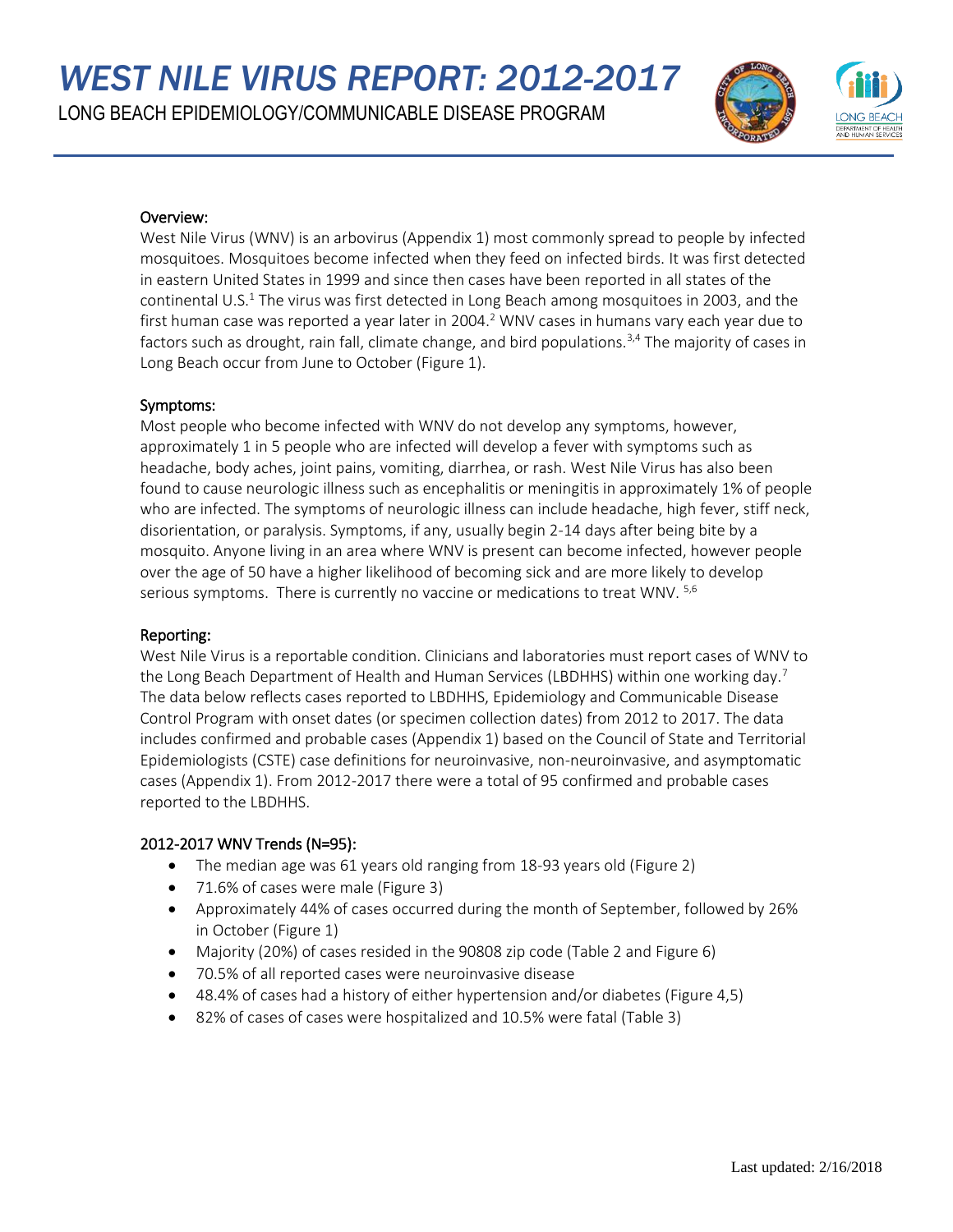*WEST NILE VIRUS REPORT: 2012-2017*

LONG BEACH EPIDEMIOLOGY/COMMUNICABLE DISEASE PROGRAM



## Overview:

West Nile Virus (WNV) is an arbovirus (Appendix 1) most commonly spread to people by infected mosquitoes. Mosquitoes become infected when they feed on infected birds. It was first detected in eastern United States in 1999 and since then cases have been reported in all states of the continental U.S.<sup>1</sup> The virus was first detected in Long Beach among mosquitoes in 2003, and the first human case was reported a year later in 2004.<sup>2</sup> WNV cases in humans vary each year due to factors such as drought, rain fall, climate change, and bird populations.<sup>3,4</sup> The majority of cases in Long Beach occur from June to October (Figure 1).

## Symptoms:

Most people who become infected with WNV do not develop any symptoms, however, approximately 1 in 5 people who are infected will develop a fever with symptoms such as headache, body aches, joint pains, vomiting, diarrhea, or rash. West Nile Virus has also been found to cause neurologic illness such as encephalitis or meningitis in approximately 1% of people who are infected. The symptoms of neurologic illness can include headache, high fever, stiff neck, disorientation, or paralysis. Symptoms, if any, usually begin 2-14 days after being bite by a mosquito. Anyone living in an area where WNV is present can become infected, however people over the age of 50 have a higher likelihood of becoming sick and are more likely to develop serious symptoms. There is currently no vaccine or medications to treat WNV.  $5,6$ 

## Reporting:

West Nile Virus is a reportable condition. Clinicians and laboratories must report cases of WNV to the Long Beach Department of Health and Human Services (LBDHHS) within one working day.<sup>7</sup> The data below reflects cases reported to LBDHHS, Epidemiology and Communicable Disease Control Program with onset dates (or specimen collection dates) from 2012 to 2017. The data includes confirmed and probable cases (Appendix 1) based on the Council of State and Territorial Epidemiologists (CSTE) case definitions for neuroinvasive, non-neuroinvasive, and asymptomatic cases (Appendix 1). From 2012-2017 there were a total of 95 confirmed and probable cases reported to the LBDHHS.

## 2012-2017 WNV Trends (N=95):

- The median age was 61 years old ranging from 18-93 years old (Figure 2)
- 71.6% of cases were male (Figure 3)
- Approximately 44% of cases occurred during the month of September, followed by 26% in October (Figure 1)
- Majority (20%) of cases resided in the 90808 zip code (Table 2 and Figure 6)
- 70.5% of all reported cases were neuroinvasive disease
- 48.4% of cases had a history of either hypertension and/or diabetes (Figure 4,5)
- 82% of cases of cases were hospitalized and 10.5% were fatal (Table 3)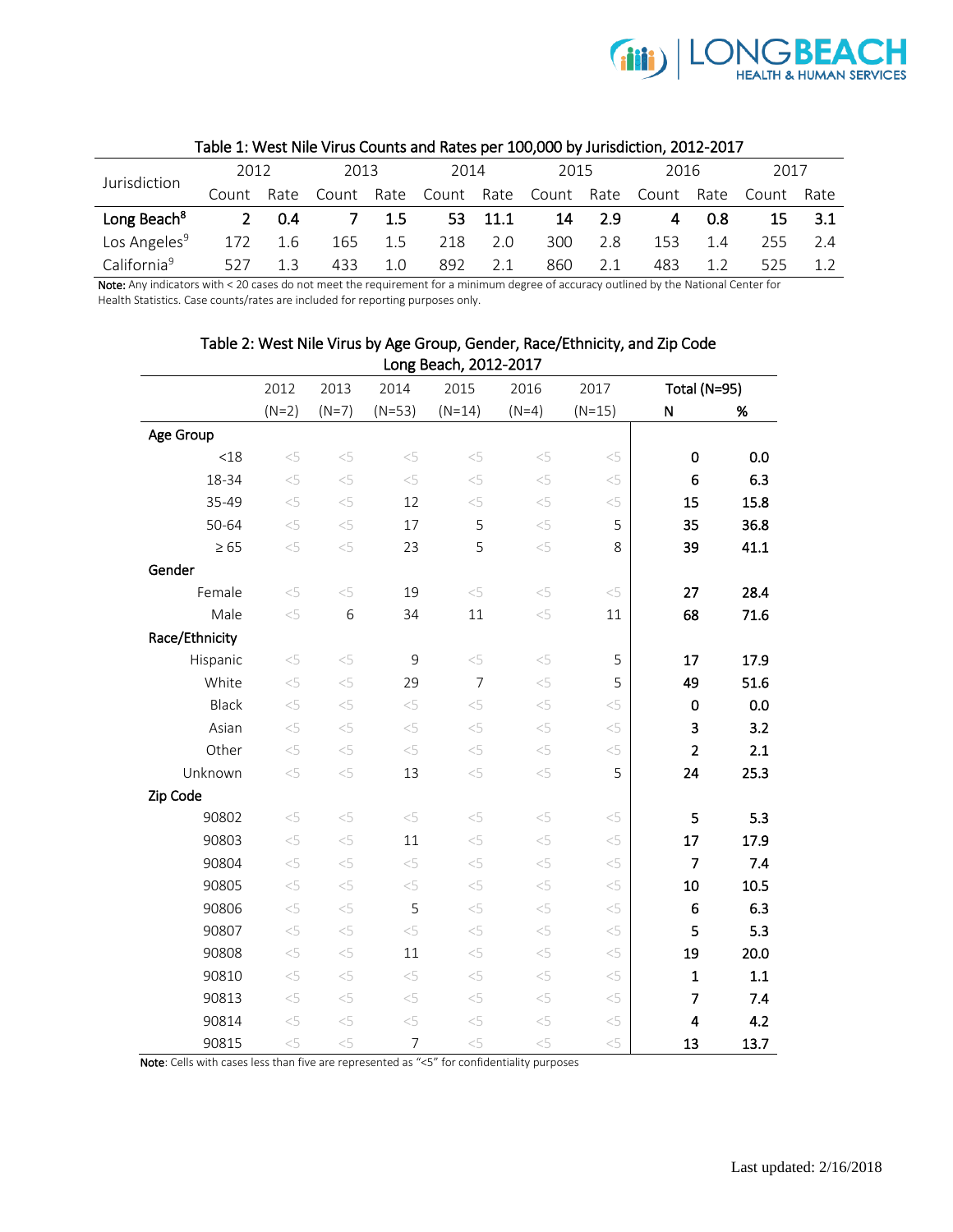

| .                        |             |      |            |      |       |         |            |        |       |      |            |     |
|--------------------------|-------------|------|------------|------|-------|---------|------------|--------|-------|------|------------|-----|
| Jurisdiction             | 2012        |      | 2013       |      | 2014  |         | 2015       |        | 2016  |      | 2017       |     |
|                          | Count       | Rate | Count Rate |      | Count | Rate    | Count Rate |        | Count | Rate | Count Rate |     |
| Long Beach <sup>8</sup>  | $2^{\circ}$ | -0.4 |            | 1.5  |       | 53 11.1 |            | 14 2.9 | 4     | 0.8  | 15         | 3.1 |
| Los Angeles <sup>9</sup> | 172         | 1.6  | 165        | -1.5 | 218   | 2.0     | 300        | 2.8    | 153   | 1.4  | 255        | 2.4 |
| California <sup>9</sup>  | 527         |      | 433        | 1.0  | 892   | 2.1     | 860        | 2.1    | 483   |      | 525        |     |

## Table 1: West Nile Virus Counts and Rates per 100,000 by Jurisdiction, 2012-2017

Note: Any indicators with < 20 cases do not meet the requirement for a minimum degree of accuracy outlined by the National Center for Health Statistics. Case counts/rates are included for reporting purposes only.

|                |                                              |          |          | Long Beach, 2012-2017 |          |          |                |      |
|----------------|----------------------------------------------|----------|----------|-----------------------|----------|----------|----------------|------|
|                | 2015<br>2012<br>2013<br>2014<br>2016<br>2017 |          |          | Total (N=95)          |          |          |                |      |
|                | $(N=2)$                                      | $(N=7)$  | $(N=53)$ | $(N=14)$              | $(N=4)$  | $(N=15)$ | ${\sf N}$      | %    |
| Age Group      |                                              |          |          |                       |          |          |                |      |
| < 18           | < 5                                          | < 5      | < 5      | $<\!\!5$              | < 5      | $<$ 5    | $\mathbf 0$    | 0.0  |
| 18-34          | < 5                                          | $<$ 5    | $<\!\!5$ | $< \! 5$              | $< \! 5$ | $<\!\!5$ | 6              | 6.3  |
| 35-49          | < 5                                          | < 5      | 12       | $< \! 5$              | < 5      | $< \! 5$ | 15             | 15.8 |
| 50-64          | $< \! 5$                                     | $< \! 5$ | 17       | 5                     | $< \! 5$ | 5        | 35             | 36.8 |
| $\geq 65$      | < 5                                          | < 5      | 23       | 5                     | $< \! 5$ | 8        | 39             | 41.1 |
| Gender         |                                              |          |          |                       |          |          |                |      |
| Female         | $< \! 5$                                     | < 5      | 19       | $< \! 5$              | $< \! 5$ | $< \! 5$ | 27             | 28.4 |
| Male           | < 5                                          | 6        | 34       | 11                    | $< \! 5$ | 11       | 68             | 71.6 |
| Race/Ethnicity |                                              |          |          |                       |          |          |                |      |
| Hispanic       | $< \! 5$                                     | $<$ 5    | 9        | $< \! 5$              | $< \! 5$ | 5        | 17             | 17.9 |
| White          | $< \! 5$                                     | $<$ 5    | 29       | $\overline{7}$        | $< \! 5$ | 5        | 49             | 51.6 |
| Black          | $< \! 5$                                     | $< \! 5$ | $< \! 5$ | $< \! 5$              | $< \! 5$ | $<$ 5    | 0              | 0.0  |
| Asian          | < 5                                          | $<$ 5    | $<\!\!5$ | $<\!\!5$              | < 5      | $< \! 5$ | 3              | 3.2  |
| Other          | < 5                                          | $<$ 5    | $<\!\!5$ | $< \! 5$              | < 5      | $<\!\!5$ | $\overline{2}$ | 2.1  |
| Unknown        | $< \! 5$                                     | $< \! 5$ | 13       | $< \! 5$              | $< \! 5$ | 5        | 24             | 25.3 |
| Zip Code       |                                              |          |          |                       |          |          |                |      |
| 90802          | < 5                                          | < 5      | < 5      | $< \! 5$              | $< \! 5$ | $<\!\!5$ | 5              | 5.3  |
| 90803          | $< \! 5$                                     | $< \! 5$ | 11       | $<\!\!5$              | < 5      | $< \! 5$ | 17             | 17.9 |
| 90804          | $< \! 5$                                     | < 5      | $<\!\!5$ | $< \! 5$              | $< \! 5$ | $< \! 5$ | $\overline{7}$ | 7.4  |
| 90805          | < 5                                          | $< \! 5$ | $<\!\!5$ | $< \! 5$              | $< \! 5$ | $< \! 5$ | 10             | 10.5 |
| 90806          | < 5                                          | $<$ 5    | 5        | $<\!\!5$              | < 5      | $<\!\!5$ | 6              | 6.3  |
| 90807          | $< \! 5$                                     | $< \! 5$ | $<$ 5    | $<\!\!5$              | $< \! 5$ | $<\!\!5$ | 5              | 5.3  |
| 90808          | $< \! 5$                                     | $< \! 5$ | 11       | $< \! 5$              | $< \! 5$ | $< \! 5$ | 19             | 20.0 |
| 90810          | < 5                                          | < 5      | < 5      | $<\!\!5$              | < 5      | $<\!\!5$ | $\mathbf{1}$   | 1.1  |
| 90813          | < 5                                          | $<\!\!5$ | $<\!\!5$ | $< \! 5$              | $< \! 5$ | $<\!\!5$ | $\overline{7}$ | 7.4  |
| 90814          | < 5                                          | $<$ 5    | < 5      | $<\!\!5$              | $< \! 5$ | $< \! 5$ | 4              | 4.2  |
| 90815          | $<$ 5                                        | $< \! 5$ | 7        | $< \! 5$              | $< \! 5$ | $<$ 5    | 13             | 13.7 |

# Table 2: West Nile Virus by Age Group, Gender, Race/Ethnicity, and Zip Code

Note: Cells with cases less than five are represented as "<5" for confidentiality purposes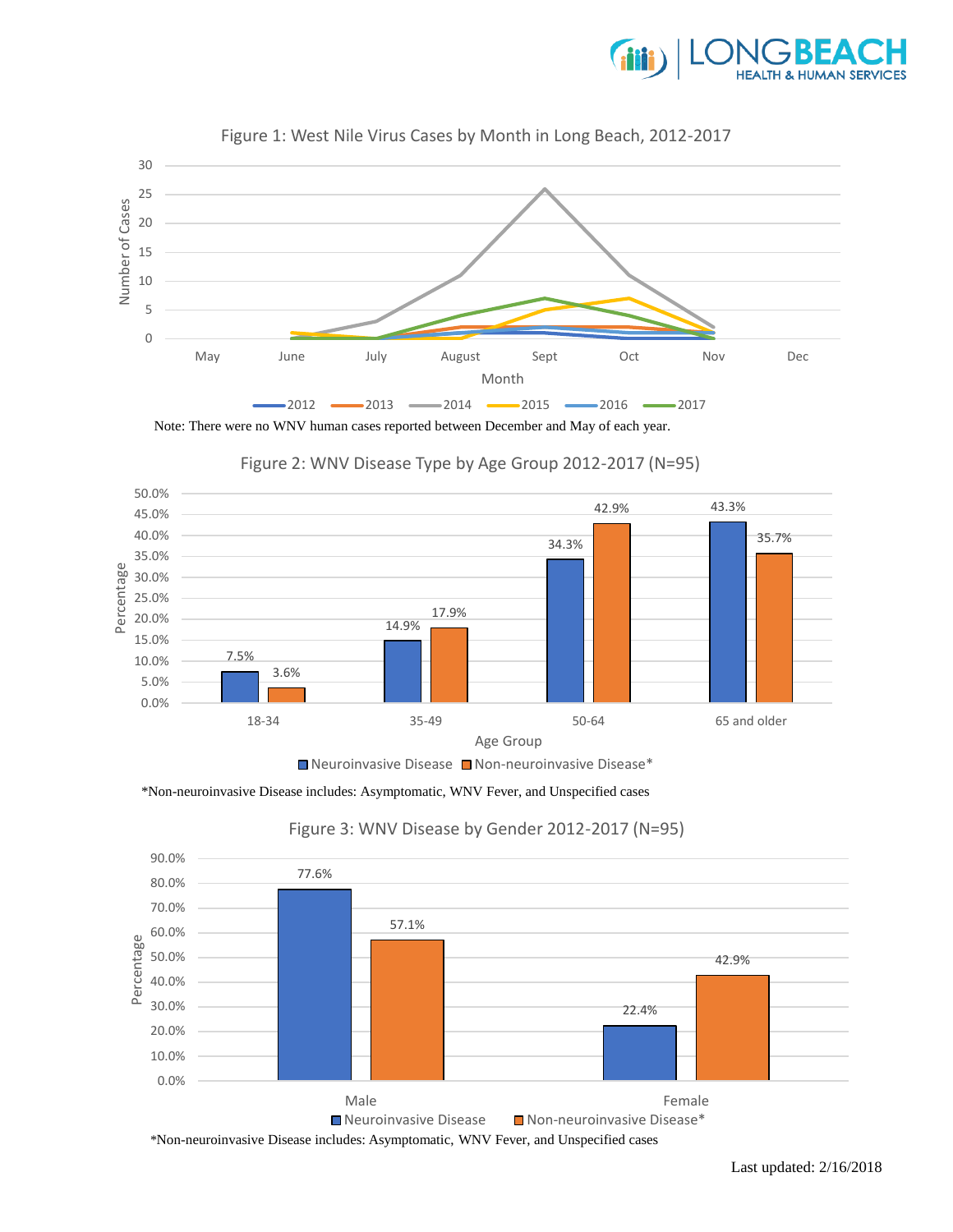









Figure 2: WNV Disease Type by Age Group 2012-2017 (N=95)

\*Non-neuroinvasive Disease includes: Asymptomatic, WNV Fever, and Unspecified cases



## Figure 3: WNV Disease by Gender 2012-2017 (N=95)

Last updated: 2/16/2018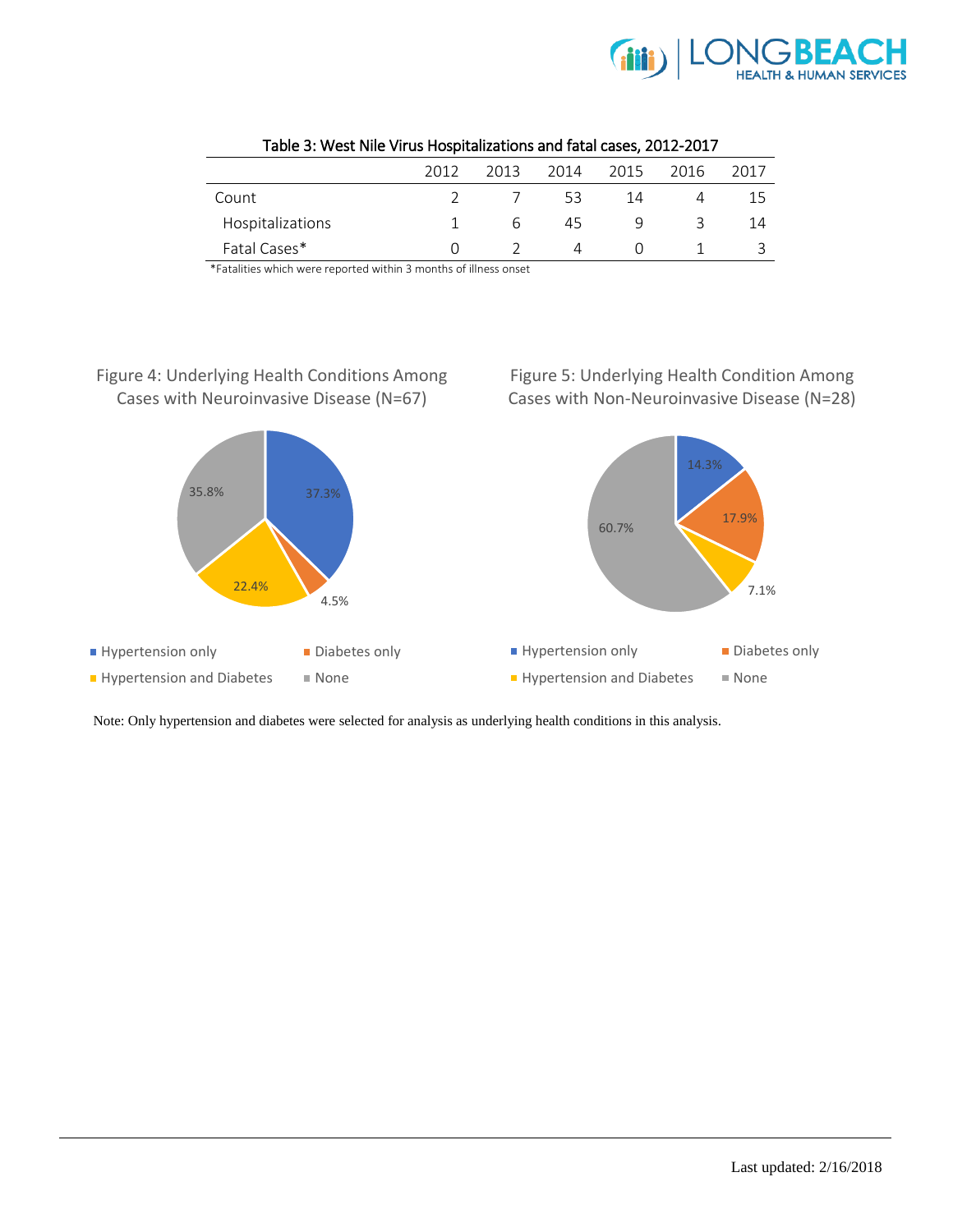

|                  | 2012 | 2013 | 2014 | 2015 | 2016 | 2017 |
|------------------|------|------|------|------|------|------|
| Count            |      |      | 53   | 14   |      |      |
| Hospitalizations |      | h    | 45   | ч    |      |      |
| Fatal Cases*     |      |      |      |      |      |      |

|  |  | Table 3: West Nile Virus Hospitalizations and fatal cases, 2012-2017 |
|--|--|----------------------------------------------------------------------|
|--|--|----------------------------------------------------------------------|

\*Fatalities which were reported within 3 months of illness onset

## Figure 4: Underlying Health Conditions Among Cases with Neuroinvasive Disease (N=67)

Figure 5: Underlying Health Condition Among Cases with Non-Neuroinvasive Disease (N=28)



Note: Only hypertension and diabetes were selected for analysis as underlying health conditions in this analysis.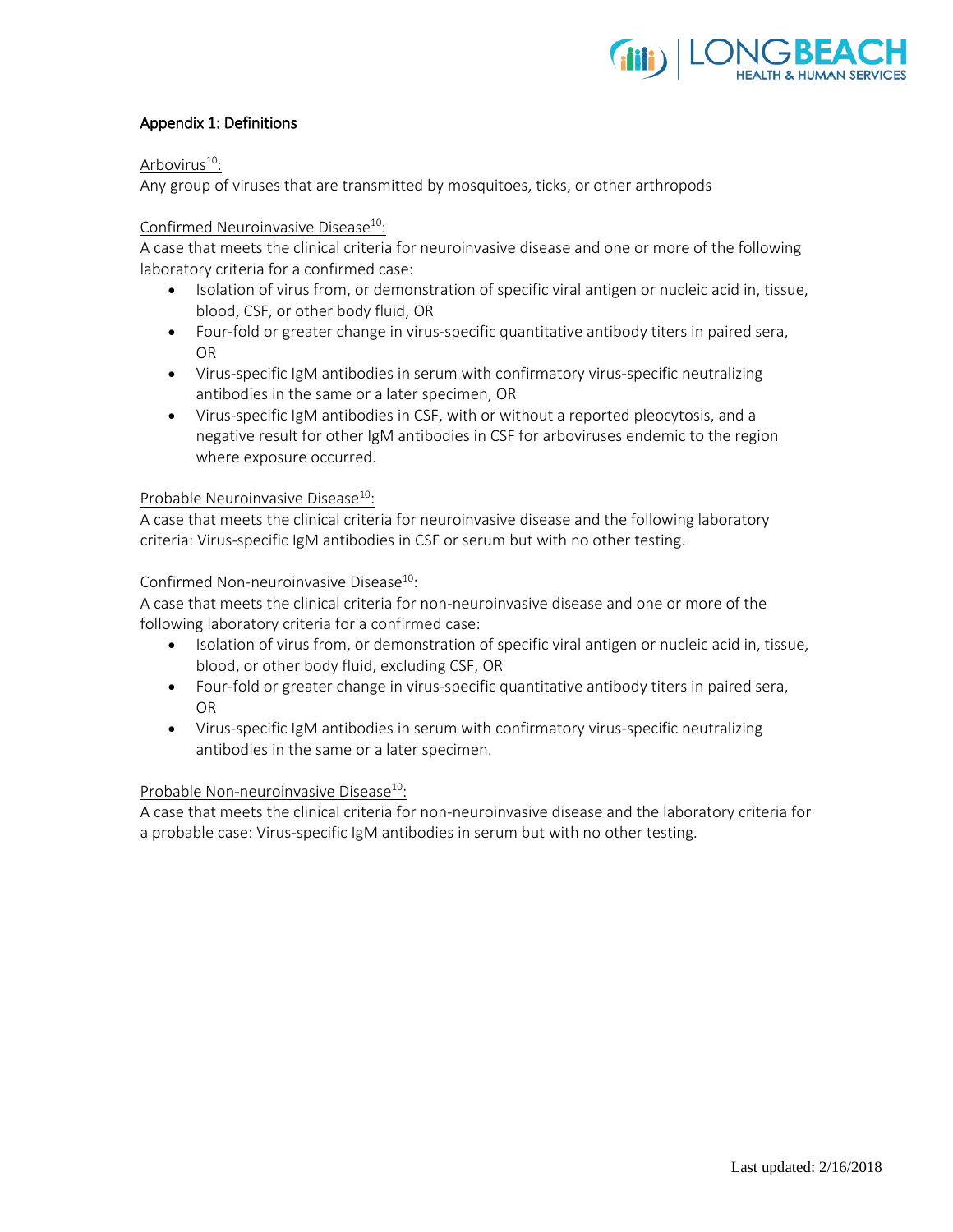

## Appendix 1: Definitions

## Arbovirus<sup>10</sup>:

Any group of viruses that are transmitted by mosquitoes, ticks, or other arthropods

## Confirmed Neuroinvasive Disease<sup>10</sup>:

A case that meets the clinical criteria for neuroinvasive disease and one or more of the following laboratory criteria for a confirmed case:

- Isolation of virus from, or demonstration of specific viral antigen or nucleic acid in, tissue, blood, CSF, or other body fluid, OR
- Four-fold or greater change in virus-specific quantitative antibody titers in paired sera, OR
- Virus-specific IgM antibodies in serum with confirmatory virus-specific neutralizing antibodies in the same or a later specimen, OR
- Virus-specific IgM antibodies in CSF, with or without a reported pleocytosis, and a negative result for other IgM antibodies in CSF for arboviruses endemic to the region where exposure occurred.

## Probable Neuroinvasive Disease<sup>10</sup>:

A case that meets the clinical criteria for neuroinvasive disease and the following laboratory criteria: Virus-specific IgM antibodies in CSF or serum but with no other testing.

## Confirmed Non-neuroinvasive Disease<sup>10</sup>:

A case that meets the clinical criteria for non-neuroinvasive disease and one or more of the following laboratory criteria for a confirmed case:

- Isolation of virus from, or demonstration of specific viral antigen or nucleic acid in, tissue, blood, or other body fluid, excluding CSF, OR
- Four-fold or greater change in virus-specific quantitative antibody titers in paired sera, OR
- Virus-specific IgM antibodies in serum with confirmatory virus-specific neutralizing antibodies in the same or a later specimen.

#### Probable Non-neuroinvasive Disease<sup>10</sup>:

A case that meets the clinical criteria for non-neuroinvasive disease and the laboratory criteria for a probable case: Virus-specific IgM antibodies in serum but with no other testing.